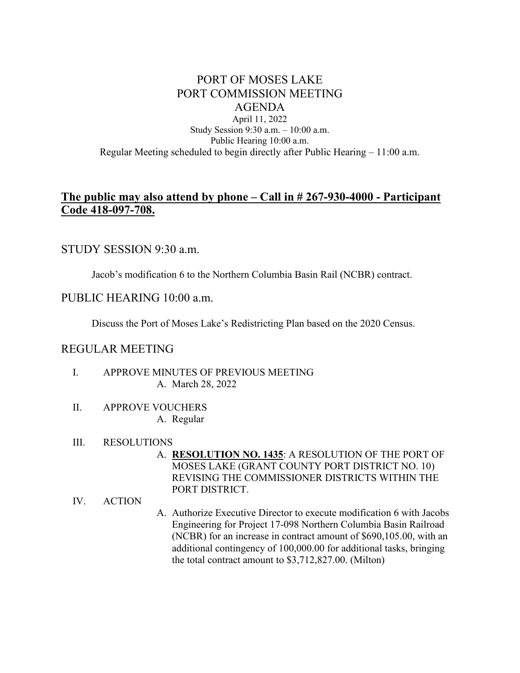# PORT OF MOSES LAKE PORT COMMISSION MEETING AGENDA

April 11, 2022 Study Session 9:30 a.m. – 10:00 a.m. Public Hearing 10:00 a.m. Regular Meeting scheduled to begin directly after Public Hearing – 11:00 a.m.

# **The public may also attend by phone – Call in # 267-930-4000 - Participant Code 418-097-708.**

## STUDY SESSION 9:30 a.m.

Jacob's modification 6 to the Northern Columbia Basin Rail (NCBR) contract.

## PUBLIC HEARING 10:00 a.m.

Discuss the Port of Moses Lake's Redistricting Plan based on the 2020 Census.

## REGULAR MEETING

- I. APPROVE MINUTES OF PREVIOUS MEETING A. March 28, 2022
- II. APPROVE VOUCHERS

A. Regular

## III. RESOLUTIONS

A. **RESOLUTION NO. 1435**: A RESOLUTION OF THE PORT OF MOSES LAKE (GRANT COUNTY PORT DISTRICT NO. 10) REVISING THE COMMISSIONER DISTRICTS WITHIN THE PORT DISTRICT.

#### IV. ACTION

A. Authorize Executive Director to execute modification 6 with Jacobs Engineering for Project 17-098 Northern Columbia Basin Railroad (NCBR) for an increase in contract amount of \$690,105.00, with an additional contingency of 100,000.00 for additional tasks, bringing the total contract amount to \$3,712,827.00. (Milton)